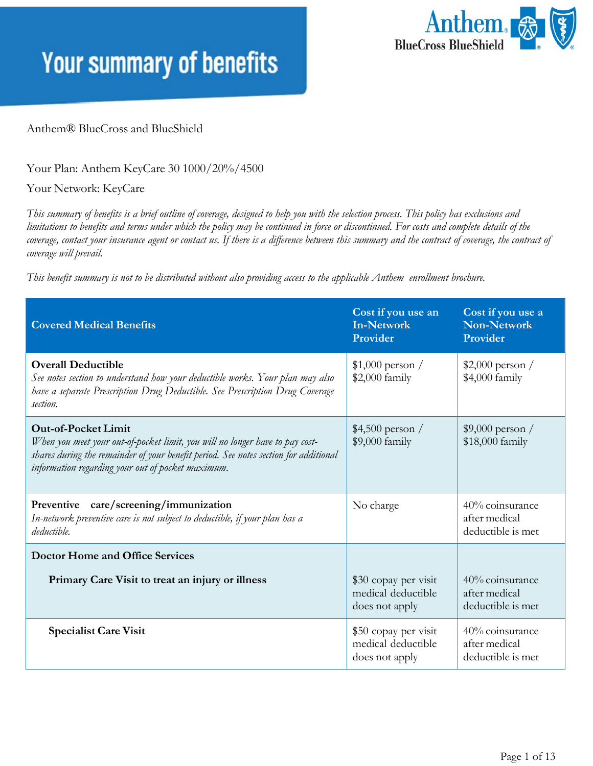

#### Anthem® BlueCross and BlueShield

Your Plan: Anthem KeyCare 30 1000/20%/4500

Your Network: KeyCare

This summary of benefits is a brief outline of coverage, designed to help you with the selection process. This policy has exclusions and limitations to benefits and terms under which the policy may be continued in force or discontinued. For costs and complete details of the coverage, contact your insurance agent or contact us. If there is a difference between this summary and the contract of coverage, the contract of *coverage will prevail.*

*This benefit summary is not to be distributed without also providing access to the applicable Anthem enrollment brochure.*

| <b>Covered Medical Benefits</b>                                                                                                                                                                                                                         | Cost if you use an<br><b>In-Network</b><br>Provider          | Cost if you use a<br>Non-Network<br>Provider          |
|---------------------------------------------------------------------------------------------------------------------------------------------------------------------------------------------------------------------------------------------------------|--------------------------------------------------------------|-------------------------------------------------------|
| <b>Overall Deductible</b><br>See notes section to understand how your deductible works. Your plan may also<br>have a separate Prescription Drug Deductible. See Prescription Drug Coverage<br>section.                                                  | $$1,000$ person /<br>$$2,000$ family                         | $$2,000$ person /<br>\$4,000 family                   |
| <b>Out-of-Pocket Limit</b><br>When you meet your out-of-pocket limit, you will no longer have to pay cost-<br>shares during the remainder of your benefit period. See notes section for additional<br>information regarding your out of pocket maximum. | $$4,500$ person /<br>$$9,000$ family                         | $$9,000$ person /<br>\$18,000 family                  |
| Preventive care/screening/immunization<br>In-network preventive care is not subject to deductible, if your plan has a<br>deductible.                                                                                                                    | No charge                                                    | 40% coinsurance<br>after medical<br>deductible is met |
| <b>Doctor Home and Office Services</b>                                                                                                                                                                                                                  |                                                              |                                                       |
| Primary Care Visit to treat an injury or illness                                                                                                                                                                                                        | \$30 copay per visit<br>medical deductible<br>does not apply | 40% coinsurance<br>after medical<br>deductible is met |
| <b>Specialist Care Visit</b>                                                                                                                                                                                                                            | \$50 copay per visit<br>medical deductible<br>does not apply | 40% coinsurance<br>after medical<br>deductible is met |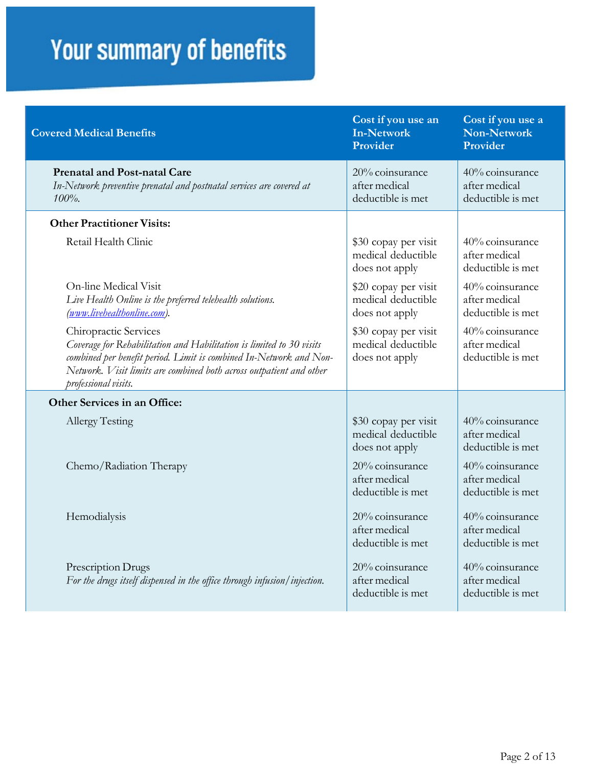| <b>Covered Medical Benefits</b>                                                                                                                                                                                                                                    | Cost if you use an<br><b>In-Network</b><br>Provider          | Cost if you use a<br><b>Non-Network</b><br>Provider   |
|--------------------------------------------------------------------------------------------------------------------------------------------------------------------------------------------------------------------------------------------------------------------|--------------------------------------------------------------|-------------------------------------------------------|
| <b>Prenatal and Post-natal Care</b><br>In-Network preventive prenatal and postnatal services are covered at<br>$100\%$ .                                                                                                                                           | 20% coinsurance<br>after medical<br>deductible is met        | 40% coinsurance<br>after medical<br>deductible is met |
| <b>Other Practitioner Visits:</b>                                                                                                                                                                                                                                  |                                                              |                                                       |
| Retail Health Clinic                                                                                                                                                                                                                                               | \$30 copay per visit<br>medical deductible<br>does not apply | 40% coinsurance<br>after medical<br>deductible is met |
| On-line Medical Visit<br>Live Health Online is the preferred telehealth solutions.<br>(www.livehealthonline.com).                                                                                                                                                  | \$20 copay per visit<br>medical deductible<br>does not apply | 40% coinsurance<br>after medical<br>deductible is met |
| Chiropractic Services<br>Coverage for Rehabilitation and Habilitation is limited to 30 visits<br>combined per benefit period. Limit is combined In-Network and Non-<br>Network. Visit limits are combined both across outpatient and other<br>professional visits. | \$30 copay per visit<br>medical deductible<br>does not apply | 40% coinsurance<br>after medical<br>deductible is met |
| Other Services in an Office:                                                                                                                                                                                                                                       |                                                              |                                                       |
| Allergy Testing                                                                                                                                                                                                                                                    | \$30 copay per visit<br>medical deductible<br>does not apply | 40% coinsurance<br>after medical<br>deductible is met |
| Chemo/Radiation Therapy                                                                                                                                                                                                                                            | 20% coinsurance<br>after medical<br>deductible is met        | 40% coinsurance<br>after medical<br>deductible is met |
| Hemodialysis                                                                                                                                                                                                                                                       | 20% coinsurance<br>after medical<br>deductible is met        | 40% coinsurance<br>after medical<br>deductible is met |
| Prescription Drugs<br>For the drugs itself dispensed in the office through infusion/injection.                                                                                                                                                                     | 20% coinsurance<br>after medical<br>deductible is met        | 40% coinsurance<br>after medical<br>deductible is met |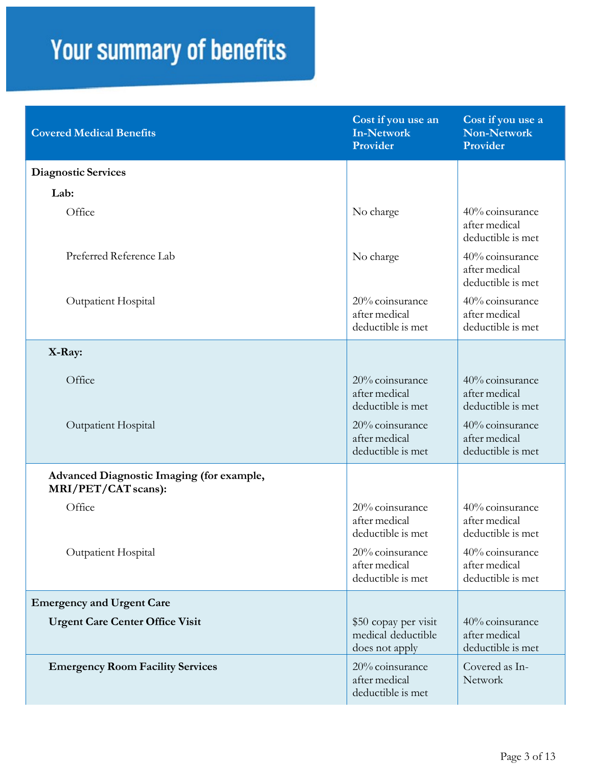| <b>Covered Medical Benefits</b>                                  | Cost if you use an<br><b>In-Network</b><br>Provider          | Cost if you use a<br><b>Non-Network</b><br>Provider   |
|------------------------------------------------------------------|--------------------------------------------------------------|-------------------------------------------------------|
| <b>Diagnostic Services</b>                                       |                                                              |                                                       |
| Lab:                                                             |                                                              |                                                       |
| Office                                                           | No charge                                                    | 40% coinsurance<br>after medical<br>deductible is met |
| Preferred Reference Lab                                          | No charge                                                    | 40% coinsurance<br>after medical<br>deductible is met |
| Outpatient Hospital                                              | 20% coinsurance<br>after medical<br>deductible is met        | 40% coinsurance<br>after medical<br>deductible is met |
| X-Ray:                                                           |                                                              |                                                       |
| Office                                                           | 20% coinsurance<br>after medical<br>deductible is met        | 40% coinsurance<br>after medical<br>deductible is met |
| Outpatient Hospital                                              | 20% coinsurance<br>after medical<br>deductible is met        | 40% coinsurance<br>after medical<br>deductible is met |
| Advanced Diagnostic Imaging (for example,<br>MRI/PET/CAT scans): |                                                              |                                                       |
| Office                                                           | 20% coinsurance<br>after medical<br>deductible is met        | 40% coinsurance<br>after medical<br>deductible is met |
| Outpatient Hospital                                              | 20% coinsurance<br>after medical<br>deductible is met        | 40% coinsurance<br>after medical<br>deductible is met |
| <b>Emergency and Urgent Care</b>                                 |                                                              |                                                       |
| <b>Urgent Care Center Office Visit</b>                           | \$50 copay per visit<br>medical deductible<br>does not apply | 40% coinsurance<br>after medical<br>deductible is met |
| <b>Emergency Room Facility Services</b>                          | 20% coinsurance<br>after medical<br>deductible is met        | Covered as In-<br>Network                             |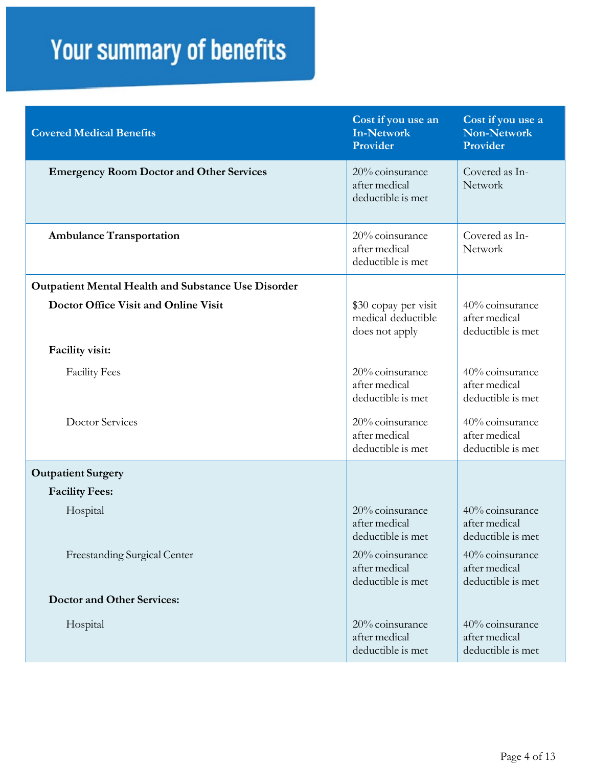| <b>Covered Medical Benefits</b>                            | Cost if you use an<br><b>In-Network</b><br>Provider          | Cost if you use a<br><b>Non-Network</b><br>Provider   |
|------------------------------------------------------------|--------------------------------------------------------------|-------------------------------------------------------|
| <b>Emergency Room Doctor and Other Services</b>            | 20% coinsurance<br>after medical<br>deductible is met        | Covered as In-<br>Network                             |
| <b>Ambulance Transportation</b>                            | 20% coinsurance<br>after medical<br>deductible is met        | Covered as In-<br>Network                             |
| <b>Outpatient Mental Health and Substance Use Disorder</b> |                                                              |                                                       |
| <b>Doctor Office Visit and Online Visit</b>                | \$30 copay per visit<br>medical deductible<br>does not apply | 40% coinsurance<br>after medical<br>deductible is met |
| Facility visit:                                            |                                                              |                                                       |
| <b>Facility Fees</b>                                       | 20% coinsurance<br>after medical<br>deductible is met        | 40% coinsurance<br>after medical<br>deductible is met |
| <b>Doctor Services</b>                                     | 20% coinsurance<br>after medical<br>deductible is met        | 40% coinsurance<br>after medical<br>deductible is met |
| <b>Outpatient Surgery</b>                                  |                                                              |                                                       |
| <b>Facility Fees:</b>                                      |                                                              |                                                       |
| Hospital                                                   | 20% coinsurance<br>after medical<br>deductible is met        | 40% coinsurance<br>after medical<br>deductible is met |
| Freestanding Surgical Center                               | 20% coinsurance<br>after medical<br>deductible is met        | 40% coinsurance<br>after medical<br>deductible is met |
| <b>Doctor and Other Services:</b>                          |                                                              |                                                       |
| Hospital                                                   | 20% coinsurance<br>after medical<br>deductible is met        | 40% coinsurance<br>after medical<br>deductible is met |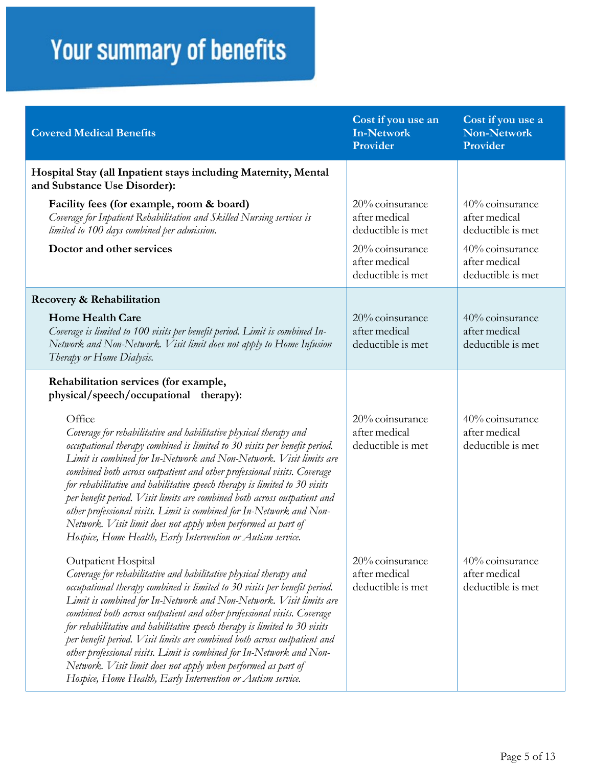| <b>Covered Medical Benefits</b>                                                                                                                                                                                                                                                                                                                                                                                                                                                                                                                                                                                                                                                          | Cost if you use an<br><b>In-Network</b><br>Provider   | Cost if you use a<br><b>Non-Network</b><br>Provider   |
|------------------------------------------------------------------------------------------------------------------------------------------------------------------------------------------------------------------------------------------------------------------------------------------------------------------------------------------------------------------------------------------------------------------------------------------------------------------------------------------------------------------------------------------------------------------------------------------------------------------------------------------------------------------------------------------|-------------------------------------------------------|-------------------------------------------------------|
| Hospital Stay (all Inpatient stays including Maternity, Mental<br>and Substance Use Disorder):                                                                                                                                                                                                                                                                                                                                                                                                                                                                                                                                                                                           |                                                       |                                                       |
| Facility fees (for example, room & board)<br>Coverage for Inpatient Rehabilitation and Skilled Nursing services is<br>limited to 100 days combined per admission.                                                                                                                                                                                                                                                                                                                                                                                                                                                                                                                        | 20% coinsurance<br>after medical<br>deductible is met | 40% coinsurance<br>after medical<br>deductible is met |
| Doctor and other services                                                                                                                                                                                                                                                                                                                                                                                                                                                                                                                                                                                                                                                                | 20% coinsurance<br>after medical<br>deductible is met | 40% coinsurance<br>after medical<br>deductible is met |
| Recovery & Rehabilitation                                                                                                                                                                                                                                                                                                                                                                                                                                                                                                                                                                                                                                                                |                                                       |                                                       |
| <b>Home Health Care</b><br>Coverage is limited to 100 visits per benefit period. Limit is combined In-<br>Network and Non-Network. Visit limit does not apply to Home Infusion<br>Therapy or Home Dialysis.                                                                                                                                                                                                                                                                                                                                                                                                                                                                              | 20% coinsurance<br>after medical<br>deductible is met | 40% coinsurance<br>after medical<br>deductible is met |
| Rehabilitation services (for example,<br>physical/speech/occupational therapy):                                                                                                                                                                                                                                                                                                                                                                                                                                                                                                                                                                                                          |                                                       |                                                       |
| Office<br>Coverage for rehabilitative and habilitative physical therapy and<br>occupational therapy combined is limited to 30 visits per benefit period.<br>Limit is combined for In-Network and Non-Network. Visit limits are<br>combined both across outpatient and other professional visits. Coverage<br>for rehabilitative and habilitative speech therapy is limited to 30 visits<br>per benefit period. Visit limits are combined both across outpatient and<br>other professional visits. Limit is combined for In-Network and Non-<br>Network. Visit limit does not apply when performed as part of<br>Hospice, Home Health, Early Intervention or Autism service.              | 20% coinsurance<br>after medical<br>deductible is met | 40% coinsurance<br>after medical<br>deductible is met |
| Outpatient Hospital<br>Coverage for rehabilitative and habilitative physical therapy and<br>occupational therapy combined is limited to 30 visits per benefit period.<br>Limit is combined for In-Network and Non-Network. Visit limits are<br>combined both across outpatient and other professional visits. Coverage<br>for rehabilitative and habilitative speech therapy is limited to 30 visits<br>per benefit period. Visit limits are combined both across outpatient and<br>other professional visits. Limit is combined for In-Network and Non-<br>Network. Visit limit does not apply when performed as part of<br>Hospice, Home Health, Early Intervention or Autism service. | 20% coinsurance<br>after medical<br>deductible is met | 40% coinsurance<br>after medical<br>deductible is met |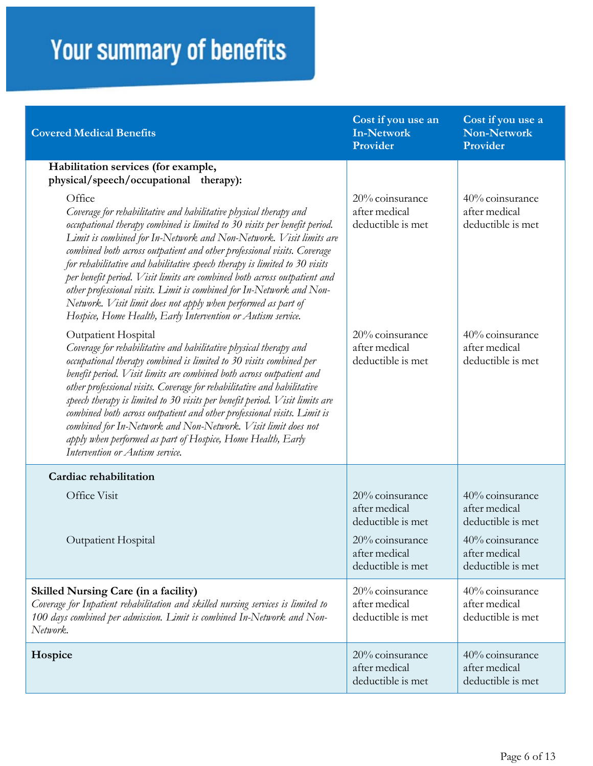| <b>Covered Medical Benefits</b>                                                                                                                                                                                                                                                                                                                                                                                                                                                                                                                                                                                                                                             | Cost if you use an<br><b>In-Network</b><br>Provider                                                            | Cost if you use a<br><b>Non-Network</b><br>Provider                                                            |
|-----------------------------------------------------------------------------------------------------------------------------------------------------------------------------------------------------------------------------------------------------------------------------------------------------------------------------------------------------------------------------------------------------------------------------------------------------------------------------------------------------------------------------------------------------------------------------------------------------------------------------------------------------------------------------|----------------------------------------------------------------------------------------------------------------|----------------------------------------------------------------------------------------------------------------|
| Habilitation services (for example,<br>physical/speech/occupational therapy):                                                                                                                                                                                                                                                                                                                                                                                                                                                                                                                                                                                               |                                                                                                                |                                                                                                                |
| Office<br>Coverage for rehabilitative and habilitative physical therapy and<br>occupational therapy combined is limited to 30 visits per benefit period.<br>Limit is combined for In-Network and Non-Network. Visit limits are<br>combined both across outpatient and other professional visits. Coverage<br>for rehabilitative and habilitative speech therapy is limited to 30 visits<br>per benefit period. Visit limits are combined both across outpatient and<br>other professional visits. Limit is combined for In-Network and Non-<br>Network. Visit limit does not apply when performed as part of<br>Hospice, Home Health, Early Intervention or Autism service. | 20% coinsurance<br>after medical<br>deductible is met                                                          | 40% coinsurance<br>after medical<br>deductible is met                                                          |
| Outpatient Hospital<br>Coverage for rehabilitative and habilitative physical therapy and<br>occupational therapy combined is limited to 30 visits combined per<br>benefit period. Visit limits are combined both across outpatient and<br>other professional visits. Coverage for rehabilitative and habilitative<br>speech therapy is limited to 30 visits per benefit period. Visit limits are<br>combined both across outpatient and other professional visits. Limit is<br>combined for In-Network and Non-Network. Visit limit does not<br>apply when performed as part of Hospice, Home Health, Early<br>Intervention or Autism service.                              | 20% coinsurance<br>after medical<br>deductible is met                                                          | 40% coinsurance<br>after medical<br>deductible is met                                                          |
| Cardiac rehabilitation                                                                                                                                                                                                                                                                                                                                                                                                                                                                                                                                                                                                                                                      |                                                                                                                |                                                                                                                |
| Office Visit<br>Outpatient Hospital                                                                                                                                                                                                                                                                                                                                                                                                                                                                                                                                                                                                                                         | 20% coinsurance<br>after medical<br>deductible is met<br>20% coinsurance<br>after medical<br>deductible is met | 40% coinsurance<br>after medical<br>deductible is met<br>40% coinsurance<br>after medical<br>deductible is met |
| <b>Skilled Nursing Care (in a facility)</b><br>Coverage for Inpatient rehabilitation and skilled nursing services is limited to<br>100 days combined per admission. Limit is combined In-Network and Non-<br>Network.                                                                                                                                                                                                                                                                                                                                                                                                                                                       | 20% coinsurance<br>after medical<br>deductible is met                                                          | 40% coinsurance<br>after medical<br>deductible is met                                                          |
| Hospice                                                                                                                                                                                                                                                                                                                                                                                                                                                                                                                                                                                                                                                                     | 20% coinsurance<br>after medical<br>deductible is met                                                          | 40% coinsurance<br>after medical<br>deductible is met                                                          |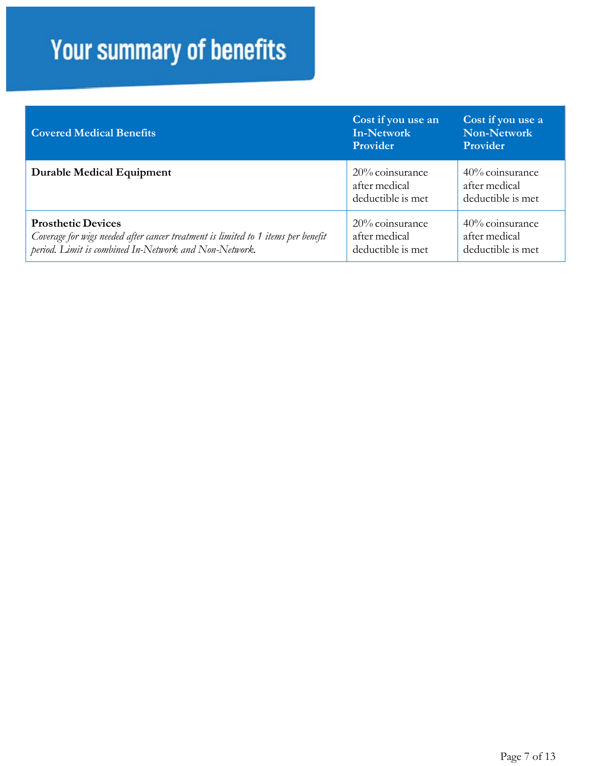| <b>Covered Medical Benefits</b>                                                                                                                                         | Cost if you use an<br><b>In-Network</b><br><b>Provider</b> | Cost if you use a<br><b>Non-Network</b><br>Provider      |
|-------------------------------------------------------------------------------------------------------------------------------------------------------------------------|------------------------------------------------------------|----------------------------------------------------------|
| <b>Durable Medical Equipment</b>                                                                                                                                        | $20\%$ coinsurance<br>after medical<br>deductible is met   | $40\%$ coinsurance<br>after medical<br>deductible is met |
| <b>Prosthetic Devices</b><br>Coverage for wigs needed after cancer treatment is limited to 1 items per benefit<br>period. Limit is combined In-Network and Non-Network. | $20\%$ coinsurance<br>after medical<br>deductible is met   | 40% coinsurance<br>after medical<br>deductible is met    |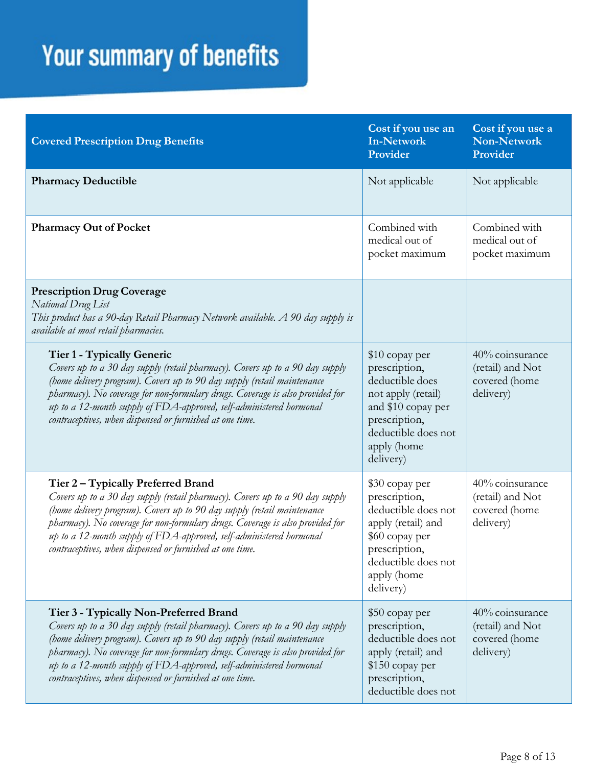| <b>Covered Prescription Drug Benefits</b>                                                                                                                                                                                                                                                                                                                                                                             | Cost if you use an<br><b>In-Network</b><br>Provider                                                                                                                | Cost if you use a<br><b>Non-Network</b><br>Provider               |
|-----------------------------------------------------------------------------------------------------------------------------------------------------------------------------------------------------------------------------------------------------------------------------------------------------------------------------------------------------------------------------------------------------------------------|--------------------------------------------------------------------------------------------------------------------------------------------------------------------|-------------------------------------------------------------------|
| <b>Pharmacy Deductible</b>                                                                                                                                                                                                                                                                                                                                                                                            | Not applicable                                                                                                                                                     | Not applicable                                                    |
| <b>Pharmacy Out of Pocket</b>                                                                                                                                                                                                                                                                                                                                                                                         | Combined with<br>medical out of<br>pocket maximum                                                                                                                  | Combined with<br>medical out of<br>pocket maximum                 |
| <b>Prescription Drug Coverage</b><br>National Drug List<br>This product has a 90-day Retail Pharmacy Network available. A 90 day supply is<br>available at most retail pharmacies.                                                                                                                                                                                                                                    |                                                                                                                                                                    |                                                                   |
| Tier 1 - Typically Generic<br>Covers up to a 30 day supply (retail pharmacy). Covers up to a 90 day supply<br>(home delivery program). Covers up to 90 day supply (retail maintenance<br>pharmacy). No coverage for non-formulary drugs. Coverage is also provided for<br>up to a 12-month supply of FDA-approved, self-administered hormonal<br>contraceptives, when dispensed or furnished at one time.             | \$10 copay per<br>prescription,<br>deductible does<br>not apply (retail)<br>and \$10 copay per<br>prescription,<br>deductible does not<br>apply (home<br>delivery) | 40% coinsurance<br>(retail) and Not<br>covered (home<br>delivery) |
| Tier 2 - Typically Preferred Brand<br>Covers up to a 30 day supply (retail pharmacy). Covers up to a 90 day supply<br>(home delivery program). Covers up to 90 day supply (retail maintenance<br>pharmacy). No coverage for non-formulary drugs. Coverage is also provided for<br>up to a 12-month supply of FDA-approved, self-administered hormonal<br>contraceptives, when dispensed or furnished at one time.     | \$30 copay per<br>prescription,<br>deductible does not<br>apply (retail) and<br>\$60 copay per<br>prescription,<br>deductible does not<br>apply (home<br>delivery) | 40% coinsurance<br>(retail) and Not<br>covered (home<br>delivery) |
| Tier 3 - Typically Non-Preferred Brand<br>Covers up to a 30 day supply (retail pharmacy). Covers up to a 90 day supply<br>(home delivery program). Covers up to 90 day supply (retail maintenance<br>pharmacy). No coverage for non-formulary drugs. Coverage is also provided for<br>up to a 12-month supply of FDA-approved, self-administered hormonal<br>contraceptives, when dispensed or furnished at one time. | \$50 copay per<br>prescription,<br>deductible does not<br>apply (retail) and<br>\$150 copay per<br>prescription,<br>deductible does not                            | 40% coinsurance<br>(retail) and Not<br>covered (home<br>delivery) |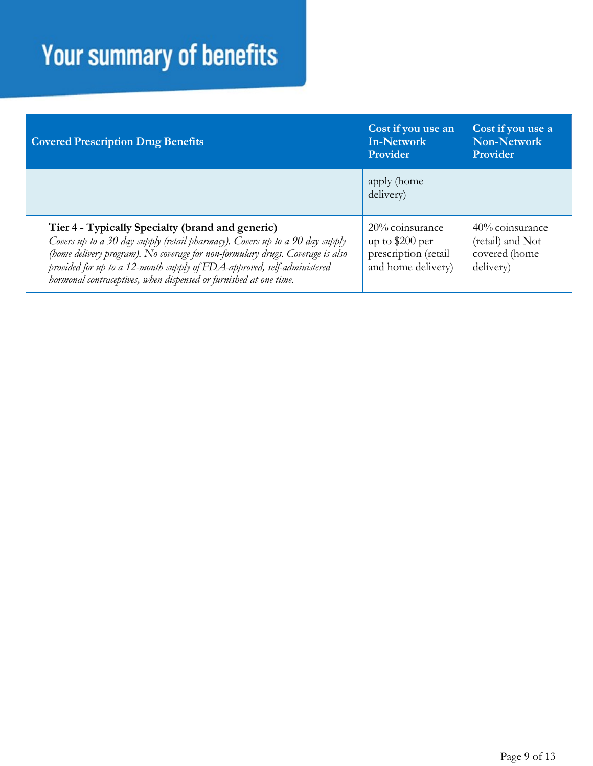| <b>Covered Prescription Drug Benefits</b>                                                                                                                                                                                                                                                                                                                          | Cost if you use an<br>In-Network<br>Provider                                         | Cost if you use a<br>Non-Network<br>Provider                         |
|--------------------------------------------------------------------------------------------------------------------------------------------------------------------------------------------------------------------------------------------------------------------------------------------------------------------------------------------------------------------|--------------------------------------------------------------------------------------|----------------------------------------------------------------------|
|                                                                                                                                                                                                                                                                                                                                                                    | apply (home<br>delivery)                                                             |                                                                      |
| Tier 4 - Typically Specialty (brand and generic)<br>Covers up to a 30 day supply (retail pharmacy). Covers up to a 90 day supply<br>(home delivery program). No coverage for non-formulary drugs. Coverage is also<br>provided for up to a 12-month supply of FDA-approved, self-administered<br>hormonal contraceptives, when dispensed or furnished at one time. | $20\%$ coinsurance<br>up to $$200$ per<br>prescription (retail<br>and home delivery) | $40\%$ coinsurance<br>(retail) and Not<br>covered (home<br>delivery) |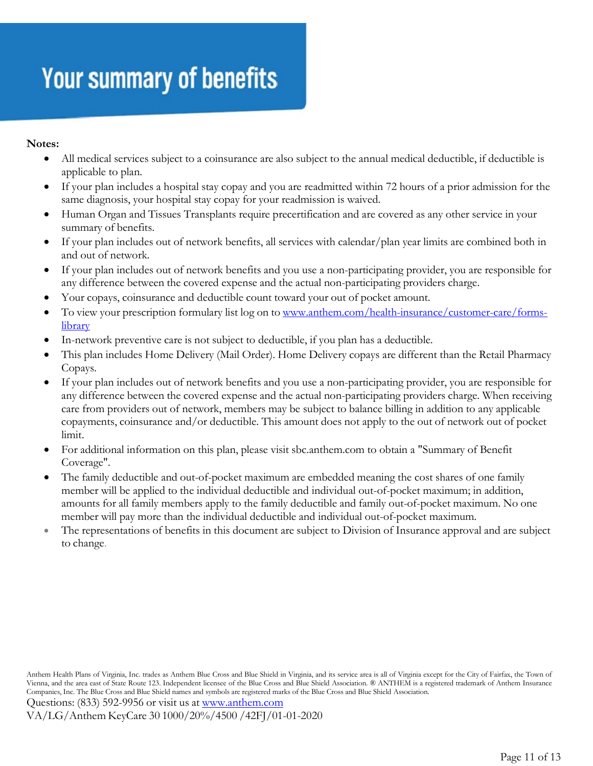#### **Notes:**

- All medical services subject to a coinsurance are also subject to the annual medical deductible, if deductible is applicable to plan.
- If your plan includes a hospital stay copay and you are readmitted within 72 hours of a prior admission for the same diagnosis, your hospital stay copay for your readmission is waived.
- Human Organ and Tissues Transplants require precertification and are covered as any other service in your summary of benefits.
- If your plan includes out of network benefits, all services with calendar/plan year limits are combined both in and out of network.
- If your plan includes out of network benefits and you use a non-participating provider, you are responsible for any difference between the covered expense and the actual non-participating providers charge.
- Your copays, coinsurance and deductible count toward your out of pocket amount.
- To view your prescription formulary list log on to [www.anthem.com/health-insurance/customer-care/forms](http://www.anthem.com/health-insurance/customer-care/forms-library)[library](http://www.anthem.com/health-insurance/customer-care/forms-library)
- In-network preventive care is not subject to deductible, if you plan has a deductible.
- This plan includes Home Delivery (Mail Order). Home Delivery copays are different than the Retail Pharmacy Copays.
- If your plan includes out of network benefits and you use a non-participating provider, you are responsible for any difference between the covered expense and the actual non-participating providers charge. When receiving care from providers out of network, members may be subject to balance billing in addition to any applicable copayments, coinsurance and/or deductible. This amount does not apply to the out of network out of pocket limit.
- For additional information on this plan, please visit sbc.anthem.com to obtain a "Summary of Benefit Coverage".
- The family deductible and out-of-pocket maximum are embedded meaning the cost shares of one family member will be applied to the individual deductible and individual out-of-pocket maximum; in addition, amounts for all family members apply to the family deductible and family out-of-pocket maximum. No one member will pay more than the individual deductible and individual out-of-pocket maximum.
- The representations of benefits in this document are subject to Division of Insurance approval and are subject to change.

Questions: (833) 592-9956 or visit us at [www.anthem.com](http://www.anthem.com/) VA/LG/Anthem KeyCare 30 1000/20%/4500 /42FJ/01-01-2020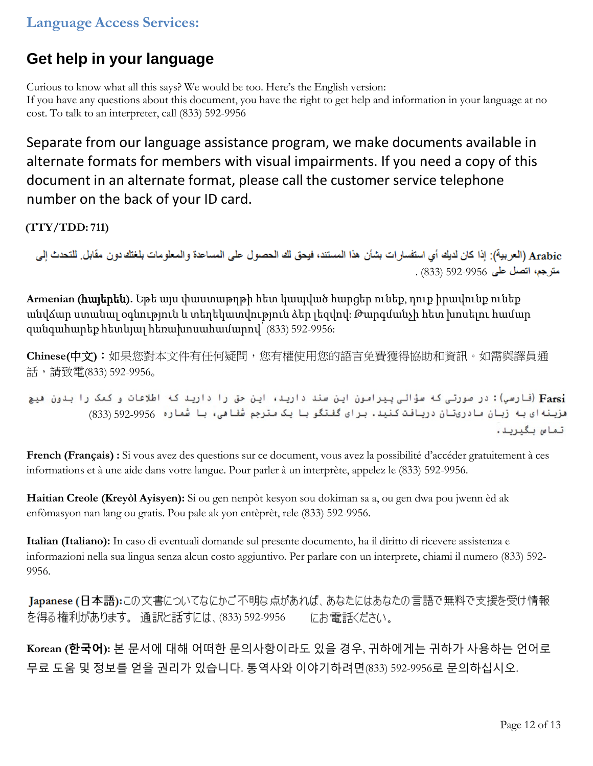#### **Language Access Services:**

#### **Get help in your language**

Curious to know what all this says? We would be too. Here's the English version: If you have any questions about this document, you have the right to get help and information in your language at no cost. To talk to an interpreter, call (833) 592-9956

Separate from our language assistance program, we make documents available in alternate formats for members with visual impairments. If you need a copy of this document in an alternate format, please call the customer service telephone number on the back of your ID card.

**(TTY/TDD: 711)**

Arabic (العربية): إذا كان لديك أي استفسار ات بشأن هذا المستند، فيحق لك الحصول على المساعدة والمعلومات بلغتك دون مقابل. للتحدث إلى . (833) 592-9956

**Armenian (**հայերեն**).** Եթե այս փաստաթղթի հետ կապված հարցեր ունեք, դուք իրավունք ունեք անվճար ստանալ օգնություն և տեղեկատվություն ձեր լեզվով: Թարգմանչի հետ խոսելու համար զանգահարեք հետևյալ հեռախոսահամարով՝ (833) 592-9956:

**Chinese(**中文**)**:如果您對本文件有任何疑問,您有權使用您的語言免費獲得協助和資訊。如需與譯員通 話,請致電(833) 592-9956。

Farsi) (فارسي): در صورتی که سؤالی پیرامون این سند دارید، این حق را دارید که اطلاعات و کمک را بدون هیچ هزينه اي به زبان مادريتان دريافت كنيد. براي گفتگو با يک مترجم شفاهي، با شماره 592-9956 (833) تماس بگيريد.

**French (Français) :** Si vous avez des questions sur ce document, vous avez la possibilité d'accéder gratuitement à ces informations et à une aide dans votre langue. Pour parler à un interprète, appelez le (833) 592-9956.

**Haitian Creole (Kreyòl Ayisyen):** Si ou gen nenpòt kesyon sou dokiman sa a, ou gen dwa pou jwenn èd ak enfòmasyon nan lang ou gratis. Pou pale ak yon entèprèt, rele (833) 592-9956.

**Italian (Italiano):** In caso di eventuali domande sul presente documento, ha il diritto di ricevere assistenza e informazioni nella sua lingua senza alcun costo aggiuntivo. Per parlare con un interprete, chiami il numero (833) 592- 9956.

Japanese (日本語):この文書についてなにかご不明な点があれば、あなたにはあなたの言語で無料で支援を受け情報 を得る権利があります。通訳と話すには、(833) 592-9956 にお電話ください。

**Korean (한국어):** 본 문서에 대해 어떠한 문의사항이라도 있을 경우, 귀하에게는 귀하가 사용하는 언어로 무료 도움 및 정보를 얻을 권리가 있습니다. 통역사와 이야기하려면(833) 592-9956로 문의하십시오.